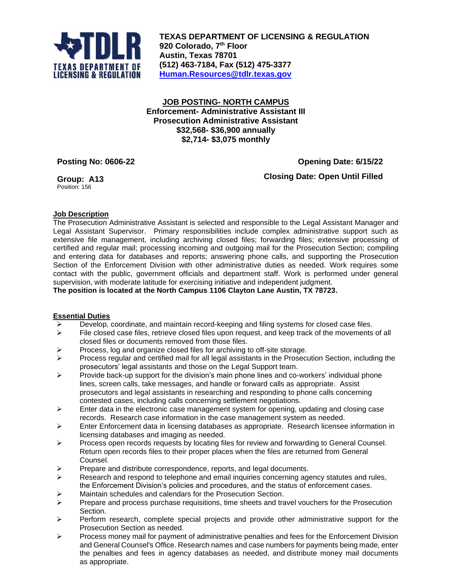

**TEXAS DEPARTMENT OF LICENSING & REGULATION 920 Colorado, 7 th Floor Austin, Texas 78701 (512) 463-7184, Fax (512) 475-3377 [Human.Resources@tdlr.texas.gov](mailto:Human.Resources@tdlr.texas.gov)**

**JOB POSTING- NORTH CAMPUS Enforcement- Administrative Assistant III Prosecution Administrative Assistant \$32,568- \$36,900 annually \$2,714- \$3,075 monthly**

**Posting No: 0606-22 Opening Date: 6/15/22**

**Group: A13** Position: 156

**Closing Date: Open Until Filled**

# **Job Description**

The Prosecution Administrative Assistant is selected and responsible to the Legal Assistant Manager and Legal Assistant Supervisor. Primary responsibilities include complex administrative support such as extensive file management, including archiving closed files; forwarding files; extensive processing of certified and regular mail; processing incoming and outgoing mail for the Prosecution Section; compiling and entering data for databases and reports; answering phone calls, and supporting the Prosecution Section of the Enforcement Division with other administrative duties as needed. Work requires some contact with the public, government officials and department staff. Work is performed under general supervision, with moderate latitude for exercising initiative and independent judgment.

**The position is located at the North Campus 1106 Clayton Lane Austin, TX 78723.**

## **Essential Duties**

- ➢ Develop, coordinate, and maintain record-keeping and filing systems for closed case files.
- $\triangleright$  File closed case files, retrieve closed files upon request, and keep track of the movements of all closed files or documents removed from those files.
- ➢ Process, log and organize closed files for archiving to off-site storage.
- $\triangleright$  Process regular and certified mail for all legal assistants in the Prosecution Section, including the prosecutors' legal assistants and those on the Legal Support team.
- $\triangleright$  Provide back-up support for the division's main phone lines and co-workers' individual phone lines, screen calls, take messages, and handle or forward calls as appropriate. Assist prosecutors and legal assistants in researching and responding to phone calls concerning contested cases, including calls concerning settlement negotiations.
- ➢ Enter data in the electronic case management system for opening, updating and closing case records. Research case information in the case management system as needed.
- ➢ Enter Enforcement data in licensing databases as appropriate. Research licensee information in licensing databases and imaging as needed.
- ➢ Process open records requests by locating files for review and forwarding to General Counsel. Return open records files to their proper places when the files are returned from General Counsel.
- Prepare and distribute correspondence, reports, and legal documents.
- $\triangleright$  Research and respond to telephone and email inquiries concerning agency statutes and rules, the Enforcement Division's policies and procedures, and the status of enforcement cases.
- ➢ Maintain schedules and calendars for the Prosecution Section.
- $\triangleright$  Prepare and process purchase requisitions, time sheets and travel vouchers for the Prosecution Section.
- ➢ Perform research, complete special projects and provide other administrative support for the Prosecution Section as needed.
- ➢ Process money mail for payment of administrative penalties and fees for the Enforcement Division and General Counsel's Office. Research names and case numbers for payments being made, enter the penalties and fees in agency databases as needed, and distribute money mail documents as appropriate.